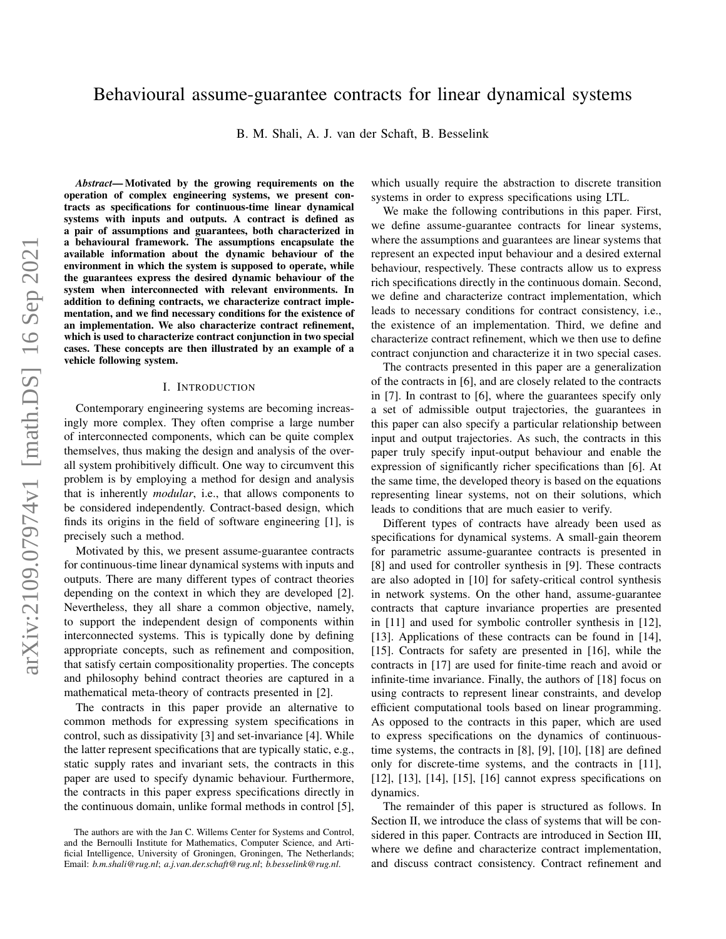# Behavioural assume-guarantee contracts for linear dynamical systems

B. M. Shali, A. J. van der Schaft, B. Besselink

arXiv:2109.07974v1 [math.DS] 16 Sep 2021 arXiv:2109.07974v1 [math.DS] 16 Sep 2021

*Abstract*— Motivated by the growing requirements on the operation of complex engineering systems, we present contracts as specifications for continuous-time linear dynamical systems with inputs and outputs. A contract is defined as a pair of assumptions and guarantees, both characterized in a behavioural framework. The assumptions encapsulate the available information about the dynamic behaviour of the environment in which the system is supposed to operate, while the guarantees express the desired dynamic behaviour of the system when interconnected with relevant environments. In addition to defining contracts, we characterize contract implementation, and we find necessary conditions for the existence of an implementation. We also characterize contract refinement, which is used to characterize contract conjunction in two special cases. These concepts are then illustrated by an example of a vehicle following system.

#### I. INTRODUCTION

Contemporary engineering systems are becoming increasingly more complex. They often comprise a large number of interconnected components, which can be quite complex themselves, thus making the design and analysis of the overall system prohibitively difficult. One way to circumvent this problem is by employing a method for design and analysis that is inherently *modular*, i.e., that allows components to be considered independently. Contract-based design, which finds its origins in the field of software engineering [1], is precisely such a method.

Motivated by this, we present assume-guarantee contracts for continuous-time linear dynamical systems with inputs and outputs. There are many different types of contract theories depending on the context in which they are developed [2]. Nevertheless, they all share a common objective, namely, to support the independent design of components within interconnected systems. This is typically done by defining appropriate concepts, such as refinement and composition, that satisfy certain compositionality properties. The concepts and philosophy behind contract theories are captured in a mathematical meta-theory of contracts presented in [2].

The contracts in this paper provide an alternative to common methods for expressing system specifications in control, such as dissipativity [3] and set-invariance [4]. While the latter represent specifications that are typically static, e.g., static supply rates and invariant sets, the contracts in this paper are used to specify dynamic behaviour. Furthermore, the contracts in this paper express specifications directly in the continuous domain, unlike formal methods in control [5], which usually require the abstraction to discrete transition systems in order to express specifications using LTL.

We make the following contributions in this paper. First, we define assume-guarantee contracts for linear systems, where the assumptions and guarantees are linear systems that represent an expected input behaviour and a desired external behaviour, respectively. These contracts allow us to express rich specifications directly in the continuous domain. Second, we define and characterize contract implementation, which leads to necessary conditions for contract consistency, i.e., the existence of an implementation. Third, we define and characterize contract refinement, which we then use to define contract conjunction and characterize it in two special cases.

The contracts presented in this paper are a generalization of the contracts in [6], and are closely related to the contracts in [7]. In contrast to [6], where the guarantees specify only a set of admissible output trajectories, the guarantees in this paper can also specify a particular relationship between input and output trajectories. As such, the contracts in this paper truly specify input-output behaviour and enable the expression of significantly richer specifications than [6]. At the same time, the developed theory is based on the equations representing linear systems, not on their solutions, which leads to conditions that are much easier to verify.

Different types of contracts have already been used as specifications for dynamical systems. A small-gain theorem for parametric assume-guarantee contracts is presented in [8] and used for controller synthesis in [9]. These contracts are also adopted in [10] for safety-critical control synthesis in network systems. On the other hand, assume-guarantee contracts that capture invariance properties are presented in [11] and used for symbolic controller synthesis in [12], [13]. Applications of these contracts can be found in [14], [15]. Contracts for safety are presented in [16], while the contracts in [17] are used for finite-time reach and avoid or infinite-time invariance. Finally, the authors of [18] focus on using contracts to represent linear constraints, and develop efficient computational tools based on linear programming. As opposed to the contracts in this paper, which are used to express specifications on the dynamics of continuoustime systems, the contracts in [8], [9], [10], [18] are defined only for discrete-time systems, and the contracts in [11], [12], [13], [14], [15], [16] cannot express specifications on dynamics.

The remainder of this paper is structured as follows. In Section II, we introduce the class of systems that will be considered in this paper. Contracts are introduced in Section III, where we define and characterize contract implementation, and discuss contract consistency. Contract refinement and

The authors are with the Jan C. Willems Center for Systems and Control, and the Bernoulli Institute for Mathematics, Computer Science, and Artificial Intelligence, University of Groningen, Groningen, The Netherlands; Email: *b.m.shali@rug.nl*; *a.j.van.der.schaft@rug.nl*; *b.besselink@rug.nl*.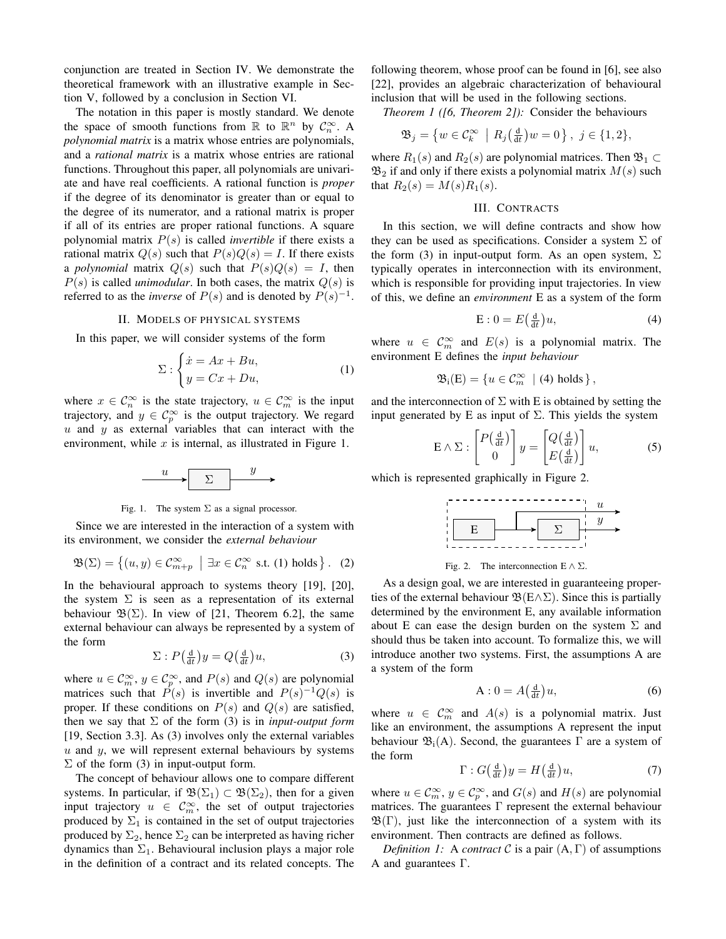conjunction are treated in Section IV. We demonstrate the theoretical framework with an illustrative example in Section V, followed by a conclusion in Section VI.

The notation in this paper is mostly standard. We denote the space of smooth functions from  $\mathbb R$  to  $\mathbb R^n$  by  $\mathcal{C}_n^{\infty}$ . A *polynomial matrix* is a matrix whose entries are polynomials, and a *rational matrix* is a matrix whose entries are rational functions. Throughout this paper, all polynomials are univariate and have real coefficients. A rational function is *proper* if the degree of its denominator is greater than or equal to the degree of its numerator, and a rational matrix is proper if all of its entries are proper rational functions. A square polynomial matrix  $P(s)$  is called *invertible* if there exists a rational matrix  $Q(s)$  such that  $P(s)Q(s) = I$ . If there exists a *polynomial* matrix  $Q(s)$  such that  $P(s)Q(s) = I$ , then  $P(s)$  is called *unimodular*. In both cases, the matrix  $Q(s)$  is referred to as the *inverse* of  $P(s)$  and is denoted by  $P(s)^{-1}$ .

# II. MODELS OF PHYSICAL SYSTEMS

In this paper, we will consider systems of the form

$$
\Sigma: \begin{cases} \dot{x} = Ax + Bu, \\ y = Cx + Du, \end{cases} \tag{1}
$$

where  $x \in \mathcal{C}_n^{\infty}$  is the state trajectory,  $u \in \mathcal{C}_m^{\infty}$  is the input trajectory, and  $y \in \mathcal{C}_p^{\infty}$  is the output trajectory. We regard  $u$  and  $y$  as external variables that can interact with the environment, while  $x$  is internal, as illustrated in Figure 1.



Fig. 1. The system  $\Sigma$  as a signal processor.

Since we are interested in the interaction of a system with its environment, we consider the *external behaviour*

$$
\mathfrak{B}(\Sigma) = \left\{ (u, y) \in \mathcal{C}_{m+p}^{\infty} \: \middle| \: \exists x \in \mathcal{C}_{n}^{\infty} \text{ s.t. (1) holds} \right\}. \tag{2}
$$

In the behavioural approach to systems theory [19], [20], the system  $\Sigma$  is seen as a representation of its external behaviour  $\mathfrak{B}(\Sigma)$ . In view of [21, Theorem 6.2], the same external behaviour can always be represented by a system of the form

$$
\Sigma: P\left(\frac{\mathrm{d}}{\mathrm{d}t}\right)y = Q\left(\frac{\mathrm{d}}{\mathrm{d}t}\right)u,\tag{3}
$$

where  $u \in C_m^{\infty}$ ,  $y \in C_p^{\infty}$ , and  $P(s)$  and  $Q(s)$  are polynomial matrices such that  $\hat{P}(s)$  is invertible and  $P(s)^{-1}Q(s)$  is proper. If these conditions on  $P(s)$  and  $Q(s)$  are satisfied, then we say that  $\Sigma$  of the form (3) is in *input-output form* [19, Section 3.3]. As (3) involves only the external variables  $u$  and  $y$ , we will represent external behaviours by systems  $\Sigma$  of the form (3) in input-output form.

The concept of behaviour allows one to compare different systems. In particular, if  $\mathfrak{B}(\Sigma_1) \subset \mathfrak{B}(\Sigma_2)$ , then for a given input trajectory  $u \in \mathcal{C}_m^{\infty}$ , the set of output trajectories produced by  $\Sigma_1$  is contained in the set of output trajectories produced by  $\Sigma_2$ , hence  $\Sigma_2$  can be interpreted as having richer dynamics than  $\Sigma_1$ . Behavioural inclusion plays a major role in the definition of a contract and its related concepts. The following theorem, whose proof can be found in [6], see also [22], provides an algebraic characterization of behavioural inclusion that will be used in the following sections.

*Theorem 1 ([6, Theorem 2]):* Consider the behaviours

$$
\mathfrak{B}_j = \left\{ w \in \mathcal{C}_k^{\infty} \: \middle| \: R_j\left(\frac{\mathrm{d}}{\mathrm{d}t}\right)w = 0 \right\}, \ j \in \{1, 2\},\
$$

where  $R_1(s)$  and  $R_2(s)$  are polynomial matrices. Then  $\mathfrak{B}_1 \subset$  $\mathfrak{B}_2$  if and only if there exists a polynomial matrix  $M(s)$  such that  $R_2(s) = M(s)R_1(s)$ .

## III. CONTRACTS

In this section, we will define contracts and show how they can be used as specifications. Consider a system  $\Sigma$  of the form (3) in input-output form. As an open system,  $\Sigma$ typically operates in interconnection with its environment, which is responsible for providing input trajectories. In view of this, we define an *environment* E as a system of the form

$$
E: 0 = E\left(\frac{d}{dt}\right)u,\tag{4}
$$

where  $u \in \mathcal{C}_m^{\infty}$  and  $E(s)$  is a polynomial matrix. The environment E defines the *input behaviour*

$$
\mathfrak{B}_{i}(E) = \{ u \in \mathcal{C}_{m}^{\infty} \mid (4) holds \},
$$

and the interconnection of  $\Sigma$  with E is obtained by setting the input generated by E as input of  $\Sigma$ . This yields the system

$$
E \wedge \Sigma : \begin{bmatrix} P\left(\frac{d}{dt}\right) \\ 0 \end{bmatrix} y = \begin{bmatrix} Q\left(\frac{d}{dt}\right) \\ E\left(\frac{d}{dt}\right) \end{bmatrix} u,\tag{5}
$$

which is represented graphically in Figure 2.



Fig. 2. The interconnection  $E \wedge \Sigma$ .

As a design goal, we are interested in guaranteeing properties of the external behaviour  $\mathfrak{B}(E \wedge \Sigma)$ . Since this is partially determined by the environment E, any available information about E can ease the design burden on the system  $\Sigma$  and should thus be taken into account. To formalize this, we will introduce another two systems. First, the assumptions A are a system of the form

$$
A: 0 = A\left(\frac{d}{dt}\right)u,\tag{6}
$$

where  $u \in \mathcal{C}_m^{\infty}$  and  $A(s)$  is a polynomial matrix. Just like an environment, the assumptions A represent the input behaviour  $\mathfrak{B}_{i}(A)$ . Second, the guarantees  $\Gamma$  are a system of the form

$$
\Gamma: G\left(\frac{\mathrm{d}}{\mathrm{d}t}\right)y = H\left(\frac{\mathrm{d}}{\mathrm{d}t}\right)u,\tag{7}
$$

where  $u \in C_m^{\infty}$ ,  $y \in C_p^{\infty}$ , and  $G(s)$  and  $H(s)$  are polynomial matrices. The guarantees Γ represent the external behaviour  $\mathfrak{B}(\Gamma)$ , just like the interconnection of a system with its environment. Then contracts are defined as follows.

*Definition 1:* A *contract* C is a pair  $(A, \Gamma)$  of assumptions A and guarantees Γ.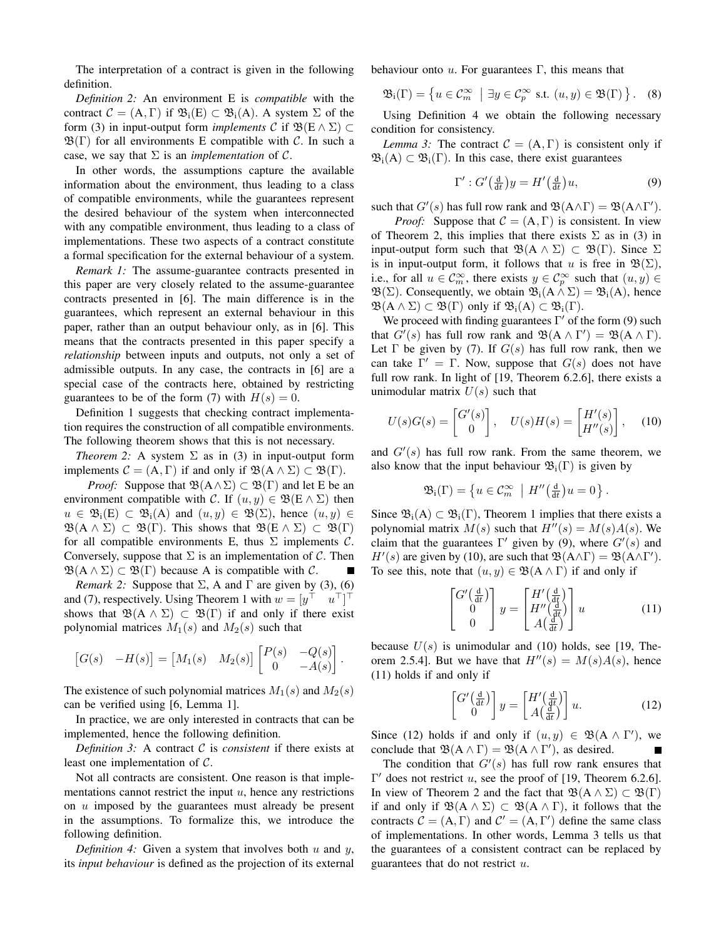The interpretation of a contract is given in the following definition.

*Definition 2:* An environment E is *compatible* with the contract  $C = (A, \Gamma)$  if  $\mathfrak{B}_i(E) \subset \mathfrak{B}_i(A)$ . A system  $\Sigma$  of the form (3) in input-output form *implements* C if  $\mathfrak{B}(E \wedge \Sigma)$  $\mathfrak{B}(\Gamma)$  for all environments E compatible with C. In such a case, we say that  $\Sigma$  is an *implementation* of  $\mathcal{C}$ .

In other words, the assumptions capture the available information about the environment, thus leading to a class of compatible environments, while the guarantees represent the desired behaviour of the system when interconnected with any compatible environment, thus leading to a class of implementations. These two aspects of a contract constitute a formal specification for the external behaviour of a system.

*Remark 1:* The assume-guarantee contracts presented in this paper are very closely related to the assume-guarantee contracts presented in [6]. The main difference is in the guarantees, which represent an external behaviour in this paper, rather than an output behaviour only, as in [6]. This means that the contracts presented in this paper specify a *relationship* between inputs and outputs, not only a set of admissible outputs. In any case, the contracts in [6] are a special case of the contracts here, obtained by restricting guarantees to be of the form (7) with  $H(s) = 0$ .

Definition 1 suggests that checking contract implementation requires the construction of all compatible environments. The following theorem shows that this is not necessary.

*Theorem 2:* A system  $\Sigma$  as in (3) in input-output form implements  $C = (A, \Gamma)$  if and only if  $\mathfrak{B}(A \wedge \Sigma) \subset \mathfrak{B}(\Gamma)$ .

*Proof:* Suppose that  $\mathfrak{B}(A \wedge \Sigma) \subset \mathfrak{B}(\Gamma)$  and let E be an environment compatible with C. If  $(u, y) \in \mathfrak{B}(\mathbb{E} \wedge \Sigma)$  then  $u \in \mathfrak{B}_{i}(E) \subset \mathfrak{B}_{i}(A)$  and  $(u, y) \in \mathfrak{B}(\Sigma)$ , hence  $(u, y) \in$  $\mathfrak{B}(A \wedge \Sigma) \subset \mathfrak{B}(\Gamma)$ . This shows that  $\mathfrak{B}(E \wedge \Sigma) \subset \mathfrak{B}(\Gamma)$ for all compatible environments E, thus  $\Sigma$  implements C. Conversely, suppose that  $\Sigma$  is an implementation of C. Then  $\mathfrak{B}(A \wedge \Sigma) \subset \mathfrak{B}(\Gamma)$  because A is compatible with C.

*Remark 2:* Suppose that  $\Sigma$ , A and  $\Gamma$  are given by (3), (6) and (7), respectively. Using Theorem 1 with  $w = [y^\top \quad u^\top]^\top$ shows that  $\mathfrak{B}(A \wedge \Sigma) \subset \mathfrak{B}(\Gamma)$  if and only if there exist polynomial matrices  $M_1(s)$  and  $M_2(s)$  such that

$$
\begin{bmatrix} G(s) & -H(s) \end{bmatrix} = \begin{bmatrix} M_1(s) & M_2(s) \end{bmatrix} \begin{bmatrix} P(s) & -Q(s) \\ 0 & -A(s) \end{bmatrix}.
$$

The existence of such polynomial matrices  $M_1(s)$  and  $M_2(s)$ can be verified using [6, Lemma 1].

In practice, we are only interested in contracts that can be implemented, hence the following definition.

*Definition 3:* A contract C is *consistent* if there exists at least one implementation of C.

Not all contracts are consistent. One reason is that implementations cannot restrict the input  $u$ , hence any restrictions on  $u$  imposed by the guarantees must already be present in the assumptions. To formalize this, we introduce the following definition.

*Definition 4:* Given a system that involves both  $u$  and  $y$ , its *input behaviour* is defined as the projection of its external

behaviour onto  $u$ . For guarantees Γ, this means that

$$
\mathfrak{B}_{i}(\Gamma) = \left\{ u \in \mathcal{C}_{m}^{\infty} \mid \exists y \in \mathcal{C}_{p}^{\infty} \text{ s.t. } (u, y) \in \mathfrak{B}(\Gamma) \right\}. \quad (8)
$$

Using Definition 4 we obtain the following necessary condition for consistency.

*Lemma 3:* The contract  $C = (A, \Gamma)$  is consistent only if  $\mathfrak{B}_{i}(A) \subset \mathfrak{B}_{i}(\Gamma)$ . In this case, there exist guarantees

$$
\Gamma' : G'\left(\frac{\mathrm{d}}{\mathrm{d}t}\right)y = H'\left(\frac{\mathrm{d}}{\mathrm{d}t}\right)u,\tag{9}
$$

such that  $G'(s)$  has full row rank and  $\mathfrak{B}(A \wedge \Gamma) = \mathfrak{B}(A \wedge \Gamma').$ 

*Proof:* Suppose that  $C = (A, \Gamma)$  is consistent. In view of Theorem 2, this implies that there exists  $\Sigma$  as in (3) in input-output form such that  $\mathfrak{B}(A \wedge \Sigma) \subset \mathfrak{B}(\Gamma)$ . Since  $\Sigma$ is in input-output form, it follows that u is free in  $\mathfrak{B}(\Sigma)$ , i.e., for all  $u \in \mathcal{C}_m^{\infty}$ , there exists  $y \in \mathcal{C}_p^{\infty}$  such that  $(u, y) \in$  $\mathfrak{B}(\Sigma)$ . Consequently, we obtain  $\mathfrak{B}_i(A \wedge \Sigma) = \mathfrak{B}_i(A)$ , hence  $\mathfrak{B}(A \wedge \Sigma) \subset \mathfrak{B}(\Gamma)$  only if  $\mathfrak{B}_i(A) \subset \mathfrak{B}_i(\Gamma)$ .

We proceed with finding guarantees  $\Gamma'$  of the form (9) such that  $G'(s)$  has full row rank and  $\mathfrak{B}(A \wedge \Gamma') = \mathfrak{B}(A \wedge \Gamma)$ . Let  $\Gamma$  be given by (7). If  $G(s)$  has full row rank, then we can take  $\Gamma' = \Gamma$ . Now, suppose that  $G(s)$  does not have full row rank. In light of [19, Theorem 6.2.6], there exists a unimodular matrix  $U(s)$  such that

$$
U(s)G(s) = \begin{bmatrix} G'(s) \\ 0 \end{bmatrix}, \quad U(s)H(s) = \begin{bmatrix} H'(s) \\ H''(s) \end{bmatrix}, \quad (10)
$$

and  $G'(s)$  has full row rank. From the same theorem, we also know that the input behaviour  $\mathfrak{B}_{i}(\Gamma)$  is given by

$$
\mathfrak{B}_{i}(\Gamma) = \left\{ u \in \mathcal{C}_{m}^{\infty} \mid H''\left(\frac{\mathrm{d}}{\mathrm{d}t}\right)u = 0 \right\}.
$$

Since  $\mathfrak{B}_{i}(A) \subset \mathfrak{B}_{i}(\Gamma)$ , Theorem 1 implies that there exists a polynomial matrix  $M(s)$  such that  $H''(s) = M(s)A(s)$ . We claim that the guarantees  $\Gamma'$  given by (9), where  $G'(s)$  and  $H'(s)$  are given by (10), are such that  $\mathfrak{B}(A \wedge \Gamma) = \mathfrak{B}(A \wedge \Gamma').$ To see this, note that  $(u, y) \in \mathfrak{B}(A \wedge \Gamma)$  if and only if

$$
\begin{bmatrix} G'(\frac{\mathrm{d}}{\mathrm{d}t}) \\ 0 \\ 0 \end{bmatrix} y = \begin{bmatrix} H'(\frac{\mathrm{d}}{\mathrm{d}t}) \\ H''(\frac{\mathrm{d}}{\mathrm{d}t}) \\ A(\frac{\mathrm{d}}{\mathrm{d}t}) \end{bmatrix} u \tag{11}
$$

because  $U(s)$  is unimodular and (10) holds, see [19, Theorem 2.5.4]. But we have that  $H''(s) = M(s)A(s)$ , hence (11) holds if and only if

$$
\begin{bmatrix} G' \left( \frac{\mathrm{d}}{\mathrm{d}t} \right) \\ 0 \end{bmatrix} y = \begin{bmatrix} H' \left( \frac{\mathrm{d}}{\mathrm{d}t} \right) \\ A \left( \frac{\mathrm{d}}{\mathrm{d}t} \right) \end{bmatrix} u. \tag{12}
$$

Since (12) holds if and only if  $(u, y) \in \mathfrak{B}(\mathbf{A} \wedge \Gamma')$ , we conclude that  $\mathfrak{B}(A \wedge \Gamma) = \mathfrak{B}(A \wedge \Gamma')$ , as desired.

The condition that  $G'(s)$  has full row rank ensures that  $Γ'$  does not restrict u, see the proof of [19, Theorem 6.2.6]. In view of Theorem 2 and the fact that  $\mathfrak{B}(A \wedge \Sigma) \subset \mathfrak{B}(\Gamma)$ if and only if  $\mathfrak{B}(A \wedge \Sigma) \subset \mathfrak{B}(A \wedge \Gamma)$ , it follows that the contracts  $C = (A, \Gamma)$  and  $C' = (A, \Gamma')$  define the same class of implementations. In other words, Lemma 3 tells us that the guarantees of a consistent contract can be replaced by guarantees that do not restrict u.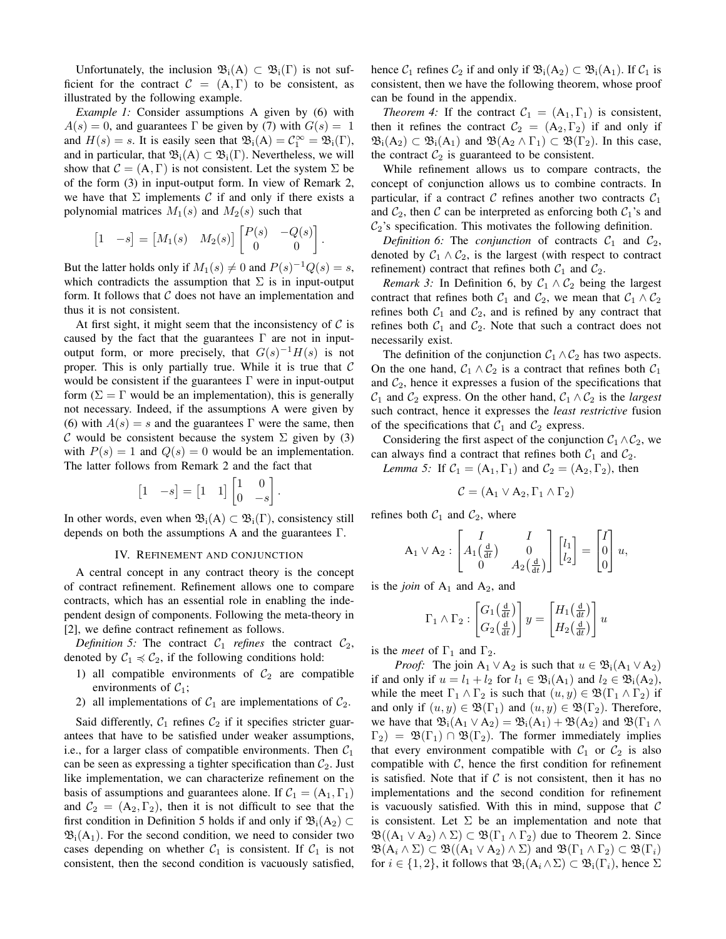Unfortunately, the inclusion  $\mathfrak{B}_{i}(A) \subset \mathfrak{B}_{i}(\Gamma)$  is not sufficient for the contract  $\mathcal{C} = (A, \Gamma)$  to be consistent, as illustrated by the following example.

*Example 1:* Consider assumptions A given by (6) with  $A(s) = 0$ , and guarantees Γ be given by (7) with  $G(s) = 1$ and  $H(s) = s$ . It is easily seen that  $\mathfrak{B}_{i}(A) = C_{1}^{\infty} = \mathfrak{B}_{i}(\Gamma)$ , and in particular, that  $\mathfrak{B}_{i}(A) \subset \mathfrak{B}_{i}(\Gamma)$ . Nevertheless, we will show that  $C = (A, \Gamma)$  is not consistent. Let the system  $\Sigma$  be of the form (3) in input-output form. In view of Remark 2, we have that  $\Sigma$  implements C if and only if there exists a polynomial matrices  $M_1(s)$  and  $M_2(s)$  such that

$$
\begin{bmatrix} 1 & -s \end{bmatrix} = \begin{bmatrix} M_1(s) & M_2(s) \end{bmatrix} \begin{bmatrix} P(s) & -Q(s) \\ 0 & 0 \end{bmatrix}
$$

.

But the latter holds only if  $M_1(s) \neq 0$  and  $P(s)^{-1}Q(s) = s$ , which contradicts the assumption that  $\Sigma$  is in input-output form. It follows that  $C$  does not have an implementation and thus it is not consistent.

At first sight, it might seem that the inconsistency of  $C$  is caused by the fact that the guarantees  $\Gamma$  are not in inputoutput form, or more precisely, that  $G(s)^{-1}H(s)$  is not proper. This is only partially true. While it is true that  $C$ would be consistent if the guarantees  $\Gamma$  were in input-output form ( $\Sigma = \Gamma$  would be an implementation), this is generally not necessary. Indeed, if the assumptions A were given by (6) with  $A(s) = s$  and the guarantees Γ were the same, then C would be consistent because the system  $\Sigma$  given by (3) with  $P(s) = 1$  and  $Q(s) = 0$  would be an implementation. The latter follows from Remark 2 and the fact that

$$
\begin{bmatrix} 1 & -s \end{bmatrix} = \begin{bmatrix} 1 & 1 \end{bmatrix} \begin{bmatrix} 1 & 0 \\ 0 & -s \end{bmatrix}.
$$

In other words, even when  $\mathfrak{B}_{i}(A) \subset \mathfrak{B}_{i}(\Gamma)$ , consistency still depends on both the assumptions A and the guarantees Γ.

## IV. REFINEMENT AND CONJUNCTION

A central concept in any contract theory is the concept of contract refinement. Refinement allows one to compare contracts, which has an essential role in enabling the independent design of components. Following the meta-theory in [2], we define contract refinement as follows.

*Definition 5:* The contract  $C_1$  *refines* the contract  $C_2$ , denoted by  $C_1 \preccurlyeq C_2$ , if the following conditions hold:

- 1) all compatible environments of  $C_2$  are compatible environments of  $C_1$ ;
- 2) all implementations of  $C_1$  are implementations of  $C_2$ .

Said differently,  $C_1$  refines  $C_2$  if it specifies stricter guarantees that have to be satisfied under weaker assumptions, i.e., for a larger class of compatible environments. Then  $C_1$ can be seen as expressing a tighter specification than  $C_2$ . Just like implementation, we can characterize refinement on the basis of assumptions and guarantees alone. If  $C_1 = (A_1, \Gamma_1)$ and  $C_2 = (A_2, \Gamma_2)$ , then it is not difficult to see that the first condition in Definition 5 holds if and only if  $\mathfrak{B}_{i}(A_2) \subset$  $\mathfrak{B}_{i}(A_1)$ . For the second condition, we need to consider two cases depending on whether  $C_1$  is consistent. If  $C_1$  is not consistent, then the second condition is vacuously satisfied,

hence  $C_1$  refines  $C_2$  if and only if  $\mathfrak{B}_i(A_2) \subset \mathfrak{B}_i(A_1)$ . If  $C_1$  is consistent, then we have the following theorem, whose proof can be found in the appendix.

*Theorem 4:* If the contract  $C_1 = (A_1, \Gamma_1)$  is consistent, then it refines the contract  $C_2 = (A_2, \Gamma_2)$  if and only if  $\mathfrak{B}_{i}(A_2) \subset \mathfrak{B}_{i}(A_1)$  and  $\mathfrak{B}(A_2 \wedge \Gamma_1) \subset \mathfrak{B}(\Gamma_2)$ . In this case, the contract  $C_2$  is guaranteed to be consistent.

While refinement allows us to compare contracts, the concept of conjunction allows us to combine contracts. In particular, if a contract C refines another two contracts  $C_1$ and  $C_2$ , then C can be interpreted as enforcing both  $C_1$ 's and  $C_2$ 's specification. This motivates the following definition.

*Definition 6:* The *conjunction* of contracts  $C_1$  and  $C_2$ , denoted by  $C_1 \wedge C_2$ , is the largest (with respect to contract refinement) contract that refines both  $C_1$  and  $C_2$ .

*Remark 3:* In Definition 6, by  $C_1 \wedge C_2$  being the largest contract that refines both  $C_1$  and  $C_2$ , we mean that  $C_1 \wedge C_2$ refines both  $C_1$  and  $C_2$ , and is refined by any contract that refines both  $C_1$  and  $C_2$ . Note that such a contract does not necessarily exist.

The definition of the conjunction  $C_1 \wedge C_2$  has two aspects. On the one hand,  $C_1 \wedge C_2$  is a contract that refines both  $C_1$ and  $C_2$ , hence it expresses a fusion of the specifications that  $C_1$  and  $C_2$  express. On the other hand,  $C_1 \wedge C_2$  is the *largest* such contract, hence it expresses the *least restrictive* fusion of the specifications that  $C_1$  and  $C_2$  express.

Considering the first aspect of the conjunction  $C_1 \wedge C_2$ , we can always find a contract that refines both  $C_1$  and  $C_2$ .

*Lemma 5:* If  $C_1 = (A_1, \Gamma_1)$  and  $C_2 = (A_2, \Gamma_2)$ , then

$$
\mathcal{C} = (A_1 \vee A_2, \Gamma_1 \wedge \Gamma_2)
$$

refines both  $C_1$  and  $C_2$ , where

$$
A_1 \vee A_2 : \begin{bmatrix} I & I \\ A_1 \left(\frac{d}{dt}\right) & 0 \\ 0 & A_2 \left(\frac{d}{dt}\right) \end{bmatrix} \begin{bmatrix} l_1 \\ l_2 \end{bmatrix} = \begin{bmatrix} I \\ 0 \\ 0 \end{bmatrix} u,
$$

is the *join* of  $A_1$  and  $A_2$ , and

$$
\Gamma_1 \wedge \Gamma_2 : \begin{bmatrix} G_1 \left( \frac{\mathrm{d}}{\mathrm{d}t} \right) \\ G_2 \left( \frac{\mathrm{d}}{\mathrm{d}t} \right) \end{bmatrix} y = \begin{bmatrix} H_1 \left( \frac{\mathrm{d}}{\mathrm{d}t} \right) \\ H_2 \left( \frac{\mathrm{d}}{\mathrm{d}t} \right) \end{bmatrix} u
$$

is the *meet* of  $\Gamma_1$  and  $\Gamma_2$ .

*Proof:* The join  $A_1 \vee A_2$  is such that  $u \in \mathfrak{B}_i(A_1 \vee A_2)$ if and only if  $u = l_1 + l_2$  for  $l_1 \in \mathfrak{B}_i(A_1)$  and  $l_2 \in \mathfrak{B}_i(A_2)$ , while the meet  $\Gamma_1 \wedge \Gamma_2$  is such that  $(u, y) \in \mathfrak{B}(\Gamma_1 \wedge \Gamma_2)$  if and only if  $(u, y) \in \mathfrak{B}(\Gamma_1)$  and  $(u, y) \in \mathfrak{B}(\Gamma_2)$ . Therefore, we have that  $\mathfrak{B}_{i}(A_1 \vee A_2) = \mathfrak{B}_{i}(A_1) + \mathfrak{B}(A_2)$  and  $\mathfrak{B}(\Gamma_1 \wedge$  $\Gamma_2$ ) =  $\mathfrak{B}(\Gamma_1) \cap \mathfrak{B}(\Gamma_2)$ . The former immediately implies that every environment compatible with  $C_1$  or  $C_2$  is also compatible with  $C$ , hence the first condition for refinement is satisfied. Note that if  $\mathcal C$  is not consistent, then it has no implementations and the second condition for refinement is vacuously satisfied. With this in mind, suppose that  $C$ is consistent. Let  $\Sigma$  be an implementation and note that  $\mathfrak{B}((A_1 \vee A_2) \wedge \Sigma) \subset \mathfrak{B}(\Gamma_1 \wedge \Gamma_2)$  due to Theorem 2. Since  $\mathfrak{B}(A_i \wedge \Sigma) \subset \mathfrak{B}((A_1 \vee A_2) \wedge \Sigma)$  and  $\mathfrak{B}(\Gamma_1 \wedge \Gamma_2) \subset \mathfrak{B}(\Gamma_i)$ for  $i \in \{1, 2\}$ , it follows that  $\mathfrak{B}_{i}(A_{i} \wedge \Sigma) \subset \mathfrak{B}_{i}(\Gamma_{i})$ , hence  $\Sigma$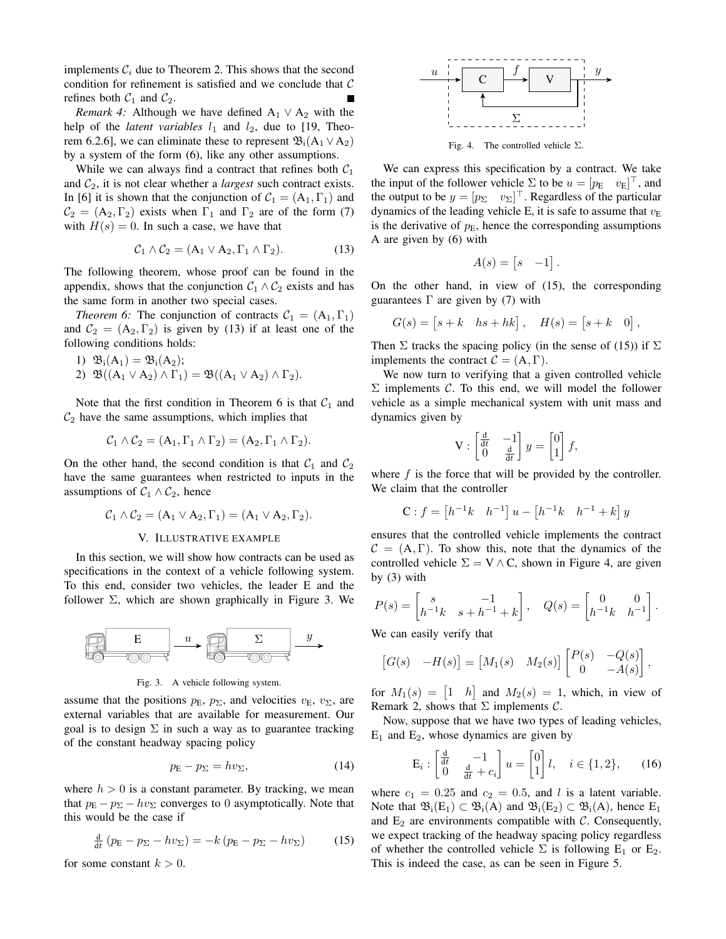implements  $C_i$  due to Theorem 2. This shows that the second condition for refinement is satisfied and we conclude that  $C$ refines both  $C_1$  and  $C_2$ .

*Remark 4:* Although we have defined  $A_1 \vee A_2$  with the help of the *latent variables*  $l_1$  and  $l_2$ , due to [19, Theorem 6.2.6], we can eliminate these to represent  $\mathfrak{B}_{i}(A_1 \vee A_2)$ by a system of the form (6), like any other assumptions.

While we can always find a contract that refines both  $C_1$ and  $C_2$ , it is not clear whether a *largest* such contract exists. In [6] it is shown that the conjunction of  $C_1 = (A_1, \Gamma_1)$  and  $C_2 = (A_2, \Gamma_2)$  exists when  $\Gamma_1$  and  $\Gamma_2$  are of the form (7) with  $H(s) = 0$ . In such a case, we have that

$$
C_1 \wedge C_2 = (A_1 \vee A_2, \Gamma_1 \wedge \Gamma_2). \tag{13}
$$

The following theorem, whose proof can be found in the appendix, shows that the conjunction  $C_1 \wedge C_2$  exists and has the same form in another two special cases.

*Theorem 6:* The conjunction of contracts  $C_1 = (A_1, \Gamma_1)$ and  $C_2 = (A_2, \Gamma_2)$  is given by (13) if at least one of the following conditions holds:

1) 
$$
\mathfrak{B}_i(A_1) = \mathfrak{B}_i(A_2);
$$
  
2)  $\mathfrak{B}((A_1 \vee A_2) \wedge \Gamma_1) = \mathfrak{B}((A_1 \vee A_2) \wedge \Gamma_2).$ 

Note that the first condition in Theorem 6 is that  $C_1$  and  $C_2$  have the same assumptions, which implies that

$$
\mathcal{C}_1 \wedge \mathcal{C}_2 = (A_1, \Gamma_1 \wedge \Gamma_2) = (A_2, \Gamma_1 \wedge \Gamma_2).
$$

On the other hand, the second condition is that  $C_1$  and  $C_2$ have the same guarantees when restricted to inputs in the assumptions of  $C_1 \wedge C_2$ , hence

$$
\mathcal{C}_1 \wedge \mathcal{C}_2 = (A_1 \vee A_2, \Gamma_1) = (A_1 \vee A_2, \Gamma_2).
$$

### V. ILLUSTRATIVE EXAMPLE

In this section, we will show how contracts can be used as specifications in the context of a vehicle following system. To this end, consider two vehicles, the leader E and the follower  $\Sigma$ , which are shown graphically in Figure 3. We



#### Fig. 3. A vehicle following system.

assume that the positions  $p<sub>E</sub>$ ,  $p<sub>\Sigma</sub>$ , and velocities  $v<sub>E</sub>$ ,  $v<sub>\Sigma</sub>$ , are external variables that are available for measurement. Our goal is to design  $\Sigma$  in such a way as to guarantee tracking of the constant headway spacing policy

$$
p_{\mathcal{E}} - p_{\Sigma} = hv_{\Sigma},\tag{14}
$$

where  $h > 0$  is a constant parameter. By tracking, we mean that  $p_{\rm E} - p_{\Sigma} - hv_{\Sigma}$  converges to 0 asymptotically. Note that this would be the case if

$$
\frac{\mathrm{d}}{\mathrm{d}t} \left( p_{\mathrm{E}} - p_{\Sigma} - h v_{\Sigma} \right) = -k \left( p_{\mathrm{E}} - p_{\Sigma} - h v_{\Sigma} \right) \tag{15}
$$

for some constant  $k > 0$ .



Fig. 4. The controlled vehicle  $\Sigma$ .

We can express this specification by a contract. We take the input of the follower vehicle  $\Sigma$  to be  $u = [p_E \quad v_E]^\top$ , and the output to be  $y = [p_{\Sigma} \quad v_{\Sigma}]^{\top}$ . Regardless of the particular dynamics of the leading vehicle E, it is safe to assume that  $v<sub>E</sub>$ is the derivative of  $p<sub>E</sub>$ , hence the corresponding assumptions A are given by (6) with

$$
A(s) = \begin{bmatrix} s & -1 \end{bmatrix}.
$$

On the other hand, in view of (15), the corresponding guarantees  $\Gamma$  are given by (7) with

$$
G(s) = [s + k \quad hs + hk], \quad H(s) = [s + k \quad 0],
$$

Then  $\Sigma$  tracks the spacing policy (in the sense of (15)) if  $\Sigma$ implements the contract  $C = (A, \Gamma)$ .

We now turn to verifying that a given controlled vehicle  $\Sigma$  implements C. To this end, we will model the follower vehicle as a simple mechanical system with unit mass and dynamics given by

$$
\mathbf{V} : \begin{bmatrix} \frac{\mathbf{d}}{\mathbf{d}t} & -1 \\ 0 & \frac{\mathbf{d}}{\mathbf{d}t} \end{bmatrix} y = \begin{bmatrix} 0 \\ 1 \end{bmatrix} f,
$$

where  $f$  is the force that will be provided by the controller. We claim that the controller

$$
\mathbf{C}: f = \begin{bmatrix} h^{-1}k & h^{-1} \end{bmatrix} u - \begin{bmatrix} h^{-1}k & h^{-1} + k \end{bmatrix} y
$$

ensures that the controlled vehicle implements the contract  $C = (A, \Gamma)$ . To show this, note that the dynamics of the controlled vehicle  $\Sigma = V \wedge C$ , shown in Figure 4, are given by (3) with

$$
P(s) = \begin{bmatrix} s & -1 \\ h^{-1}k & s + h^{-1} + k \end{bmatrix}, \quad Q(s) = \begin{bmatrix} 0 & 0 \\ h^{-1}k & h^{-1} \end{bmatrix}.
$$

We can easily verify that

$$
\begin{bmatrix} G(s) & -H(s) \end{bmatrix} = \begin{bmatrix} M_1(s) & M_2(s) \end{bmatrix} \begin{bmatrix} P(s) & -Q(s) \\ 0 & -A(s) \end{bmatrix},
$$

for  $M_1(s) = \begin{bmatrix} 1 & h \end{bmatrix}$  and  $M_2(s) = 1$ , which, in view of Remark 2, shows that  $\Sigma$  implements  $\mathcal{C}$ .

Now, suppose that we have two types of leading vehicles,  $E_1$  and  $E_2$ , whose dynamics are given by

$$
\mathbf{E}_{i}: \begin{bmatrix} \frac{\mathbf{d}}{\mathbf{d}t} & -1\\ 0 & \frac{\mathbf{d}}{\mathbf{d}t} + c_{i} \end{bmatrix} u = \begin{bmatrix} 0\\ 1 \end{bmatrix} l, \quad i \in \{1, 2\},\tag{16}
$$

where  $c_1 = 0.25$  and  $c_2 = 0.5$ , and l is a latent variable. Note that  $\mathfrak{B}_i(E_1) \subset \mathfrak{B}_i(A)$  and  $\mathfrak{B}_i(E_2) \subset \mathfrak{B}_i(A)$ , hence  $E_1$ and  $E_2$  are environments compatible with  $C$ . Consequently, we expect tracking of the headway spacing policy regardless of whether the controlled vehicle  $\Sigma$  is following  $E_1$  or  $E_2$ . This is indeed the case, as can be seen in Figure 5.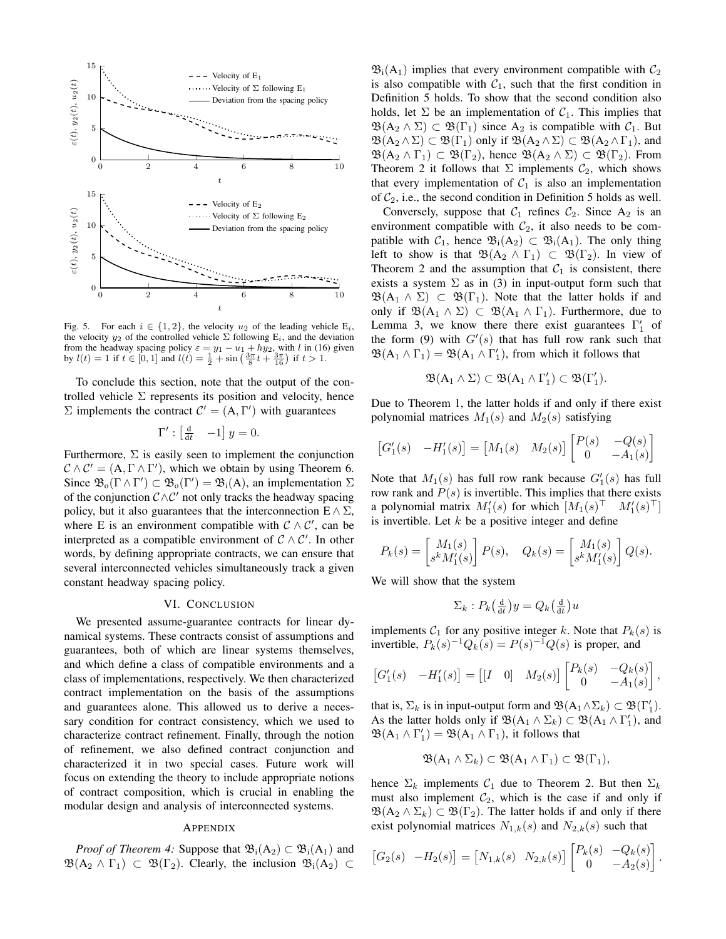

Fig. 5. For each  $i \in \{1, 2\}$ , the velocity  $u_2$  of the leading vehicle  $E_i$ , the velocity  $y_2$  of the controlled vehicle  $\Sigma$  following  $E_i$ , and the deviation from the headway spacing policy  $\varepsilon = y_1 - u_1 + hy_2$ , with l in (16) given<br>by  $l(t) = 1$  if  $t \in [0, 1]$  and  $l(t) = \frac{1}{2} + \sin\left(\frac{3\pi}{8}t + \frac{3\pi}{16}\right)$  if  $t > 1$ .

To conclude this section, note that the output of the controlled vehicle  $\Sigma$  represents its position and velocity, hence  $\Sigma$  implements the contract  $C' = (A, \Gamma')$  with guarantees

$$
\Gamma' : \begin{bmatrix} \frac{\mathrm{d}}{\mathrm{d}t} & -1 \end{bmatrix} y = 0.
$$

Furthermore,  $\Sigma$  is easily seen to implement the conjunction  $\mathcal{C} \wedge \mathcal{C}' = (A, \Gamma \wedge \Gamma')$ , which we obtain by using Theorem 6. Since  $\mathfrak{B}_0(\Gamma \wedge \Gamma') \subset \mathfrak{B}_0(\Gamma') = \mathfrak{B}_1(A)$ , an implementation  $\Sigma$ of the conjunction  $\mathcal{C}\wedge\mathcal{C}'$  not only tracks the headway spacing policy, but it also guarantees that the interconnection  $E \wedge \Sigma$ , where E is an environment compatible with  $C \wedge C'$ , can be interpreted as a compatible environment of  $C \wedge C'$ . In other words, by defining appropriate contracts, we can ensure that several interconnected vehicles simultaneously track a given constant headway spacing policy.

# VI. CONCLUSION

We presented assume-guarantee contracts for linear dynamical systems. These contracts consist of assumptions and guarantees, both of which are linear systems themselves, and which define a class of compatible environments and a class of implementations, respectively. We then characterized contract implementation on the basis of the assumptions and guarantees alone. This allowed us to derive a necessary condition for contract consistency, which we used to characterize contract refinement. Finally, through the notion of refinement, we also defined contract conjunction and characterized it in two special cases. Future work will focus on extending the theory to include appropriate notions of contract composition, which is crucial in enabling the modular design and analysis of interconnected systems.

### APPENDIX

*Proof of Theorem 4:* Suppose that  $\mathfrak{B}_{i}(A_2) \subset \mathfrak{B}_{i}(A_1)$  and  $\mathfrak{B}(A_2 \wedge \Gamma_1) \subset \mathfrak{B}(\Gamma_2)$ . Clearly, the inclusion  $\mathfrak{B}_i(A_2) \subset$ 

 $\mathfrak{B}_i(A_1)$  implies that every environment compatible with  $\mathcal{C}_2$ is also compatible with  $C_1$ , such that the first condition in Definition 5 holds. To show that the second condition also holds, let  $\Sigma$  be an implementation of  $C_1$ . This implies that  $\mathfrak{B}(A_2 \wedge \Sigma) \subset \mathfrak{B}(\Gamma_1)$  since  $A_2$  is compatible with  $\mathcal{C}_1$ . But  $\mathfrak{B}(A_2 \wedge \Sigma) \subset \mathfrak{B}(\Gamma_1)$  only if  $\mathfrak{B}(A_2 \wedge \Sigma) \subset \mathfrak{B}(A_2 \wedge \Gamma_1)$ , and  $\mathfrak{B}(A_2 \wedge \Gamma_1) \subset \mathfrak{B}(\Gamma_2)$ , hence  $\mathfrak{B}(A_2 \wedge \Sigma) \subset \mathfrak{B}(\Gamma_2)$ . From Theorem 2 it follows that  $\Sigma$  implements  $C_2$ , which shows that every implementation of  $C_1$  is also an implementation of  $C_2$ , i.e., the second condition in Definition 5 holds as well.

Conversely, suppose that  $C_1$  refines  $C_2$ . Since  $A_2$  is an environment compatible with  $C_2$ , it also needs to be compatible with  $C_1$ , hence  $\mathfrak{B}_i(A_2) \subset \mathfrak{B}_i(A_1)$ . The only thing left to show is that  $\mathfrak{B}(A_2 \wedge \Gamma_1) \subset \mathfrak{B}(\Gamma_2)$ . In view of Theorem 2 and the assumption that  $C_1$  is consistent, there exists a system  $\Sigma$  as in (3) in input-output form such that  $\mathfrak{B}(A_1 \wedge \Sigma) \subset \mathfrak{B}(\Gamma_1)$ . Note that the latter holds if and only if  $\mathfrak{B}(A_1 \wedge \Sigma) \subset \mathfrak{B}(A_1 \wedge \Gamma_1)$ . Furthermore, due to Lemma 3, we know there there exist guarantees  $\Gamma'_1$  of the form (9) with  $G'(s)$  that has full row rank such that  $\mathfrak{B}(A_1 \wedge \Gamma_1) = \mathfrak{B}(A_1 \wedge \Gamma_1')$ , from which it follows that

$$
\mathfrak{B}(A_1 \wedge \Sigma) \subset \mathfrak{B}(A_1 \wedge \Gamma'_1) \subset \mathfrak{B}(\Gamma'_1).
$$

Due to Theorem 1, the latter holds if and only if there exist polynomial matrices  $M_1(s)$  and  $M_2(s)$  satisfying

$$
\begin{bmatrix} G_1'(s) & -H_1'(s) \end{bmatrix} = \begin{bmatrix} M_1(s) & M_2(s) \end{bmatrix} \begin{bmatrix} P(s) & -Q(s) \\ 0 & -A_1(s) \end{bmatrix}
$$

Note that  $M_1(s)$  has full row rank because  $G'_1(s)$  has full row rank and  $P(s)$  is invertible. This implies that there exists a polynomial matrix  $M_1'(s)$  for which  $[M_1(s)^\top \quad M_1'(s)^\top]$ is invertible. Let  $k$  be a positive integer and define

$$
P_k(s) = \begin{bmatrix} M_1(s) \\ s^k M_1'(s) \end{bmatrix} P(s), \quad Q_k(s) = \begin{bmatrix} M_1(s) \\ s^k M_1'(s) \end{bmatrix} Q(s).
$$

We will show that the system

$$
\Sigma_k : P_k\left(\frac{\mathrm{d}}{\mathrm{d}t}\right)y = Q_k\left(\frac{\mathrm{d}}{\mathrm{d}t}\right)u
$$

implements  $C_1$  for any positive integer k. Note that  $P_k(s)$  is invertible,  $P_k(s)^{-1}Q_k(s) = P(s)^{-1}Q(s)$  is proper, and

$$
\begin{bmatrix} G_1'(s) & -H_1'(s) \end{bmatrix} = \begin{bmatrix} I & 0 \end{bmatrix} \begin{bmatrix} M_2(s) \end{bmatrix} \begin{bmatrix} P_k(s) & -Q_k(s) \\ 0 & -A_1(s) \end{bmatrix},
$$

that is,  $\Sigma_k$  is in input-output form and  $\mathfrak{B}(A_1 \wedge \Sigma_k) \subset \mathfrak{B}(\Gamma'_1)$ . As the latter holds only if  $\mathfrak{B}(A_1 \wedge \Sigma_k) \subset \mathfrak{B}(A_1 \wedge \Gamma'_1)$ , and  $\mathfrak{B}(A_1 \wedge \Gamma'_1) = \mathfrak{B}(A_1 \wedge \Gamma_1)$ , it follows that

$$
\mathfrak{B}(\mathbf{A}_1 \wedge \Sigma_k) \subset \mathfrak{B}(\mathbf{A}_1 \wedge \Gamma_1) \subset \mathfrak{B}(\Gamma_1),
$$

hence  $\Sigma_k$  implements  $C_1$  due to Theorem 2. But then  $\Sigma_k$ must also implement  $C_2$ , which is the case if and only if  $\mathfrak{B}(A_2 \wedge \Sigma_k) \subset \mathfrak{B}(\Gamma_2)$ . The latter holds if and only if there exist polynomial matrices  $N_{1,k}(s)$  and  $N_{2,k}(s)$  such that

$$
\begin{bmatrix} G_2(s) & -H_2(s) \end{bmatrix} = \begin{bmatrix} N_{1,k}(s) & N_{2,k}(s) \end{bmatrix} \begin{bmatrix} P_k(s) & -Q_k(s) \\ 0 & -A_2(s) \end{bmatrix}.
$$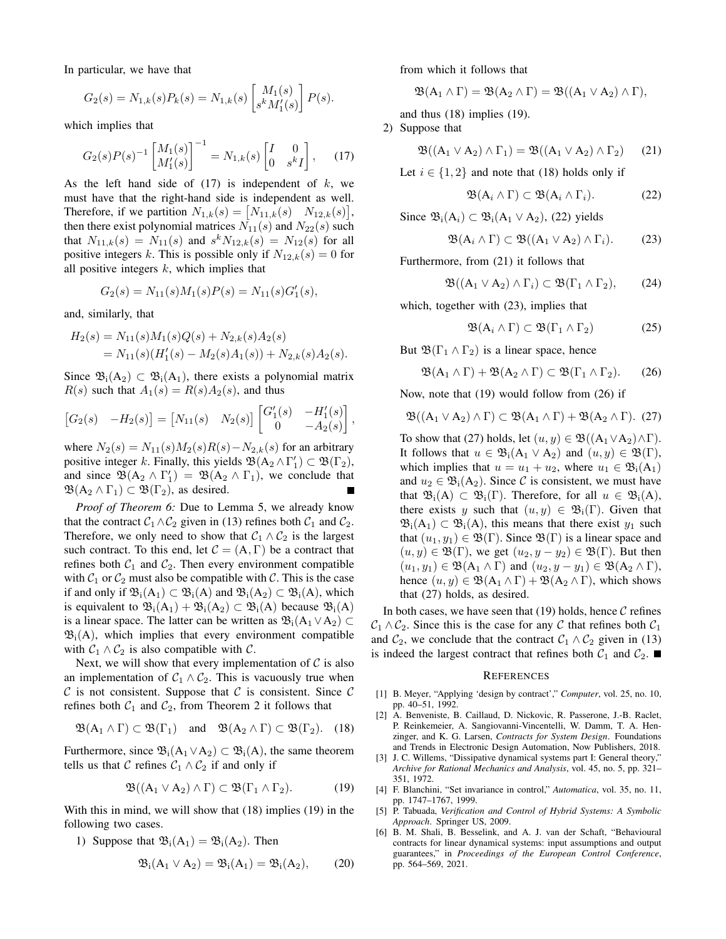In particular, we have that

$$
G_2(s) = N_{1,k}(s)P_k(s) = N_{1,k}(s) \begin{bmatrix} M_1(s) \\ s^k M'_1(s) \end{bmatrix} P(s).
$$

which implies that

$$
G_2(s)P(s)^{-1} \begin{bmatrix} M_1(s) \\ M'_1(s) \end{bmatrix}^{-1} = N_{1,k}(s) \begin{bmatrix} I & 0 \\ 0 & s^k I \end{bmatrix}, \quad (17)
$$

As the left hand side of  $(17)$  is independent of k, we must have that the right-hand side is independent as well. Therefore, if we partition  $N_{1,k}(s) = [N_{11,k}(s) \quad N_{12,k}(s)],$ then there exist polynomial matrices  $N_{11}(s)$  and  $N_{22}(s)$  such that  $N_{11,k}(s) = N_{11}(s)$  and  $s^k N_{12,k}(s) = N_{12}(s)$  for all positive integers k. This is possible only if  $N_{12,k}(s) = 0$  for all positive integers  $k$ , which implies that

$$
G_2(s) = N_{11}(s)M_1(s)P(s) = N_{11}(s)G'_1(s),
$$

and, similarly, that

$$
H_2(s) = N_{11}(s)M_1(s)Q(s) + N_{2,k}(s)A_2(s)
$$
  
=  $N_{11}(s)(H'_1(s) - M_2(s)A_1(s)) + N_{2,k}(s)A_2(s).$ 

Since  $\mathfrak{B}_{i}(A_2) \subset \mathfrak{B}_{i}(A_1)$ , there exists a polynomial matrix  $R(s)$  such that  $A_1(s) = R(s)A_2(s)$ , and thus

$$
\begin{bmatrix} G_2(s) & -H_2(s) \end{bmatrix} = \begin{bmatrix} N_{11}(s) & N_2(s) \end{bmatrix} \begin{bmatrix} G'_1(s) & -H'_1(s) \\ 0 & -A_2(s) \end{bmatrix}
$$

where  $N_2(s) = N_{11}(s)M_2(s)R(s) - N_{2,k}(s)$  for an arbitrary positive integer k. Finally, this yields  $\mathfrak{B}(A_2 \wedge \Gamma'_1) \subset \mathfrak{B}(\Gamma_2)$ , and since  $\mathfrak{B}(A_2 \wedge \Gamma'_1) = \mathfrak{B}(A_2 \wedge \Gamma_1)$ , we conclude that  $\mathfrak{B}(A_2 \wedge \Gamma_1) \subset \mathfrak{B}(\Gamma_2)$ , as desired.

*Proof of Theorem 6:* Due to Lemma 5, we already know that the contract  $C_1 \wedge C_2$  given in (13) refines both  $C_1$  and  $C_2$ . Therefore, we only need to show that  $C_1 \wedge C_2$  is the largest such contract. To this end, let  $C = (A, \Gamma)$  be a contract that refines both  $C_1$  and  $C_2$ . Then every environment compatible with  $C_1$  or  $C_2$  must also be compatible with C. This is the case if and only if  $\mathfrak{B}_{i}(A_1) \subset \mathfrak{B}_{i}(A)$  and  $\mathfrak{B}_{i}(A_2) \subset \mathfrak{B}_{i}(A)$ , which is equivalent to  $\mathfrak{B}_{i}(A_1) + \mathfrak{B}_{i}(A_2) \subset \mathfrak{B}_{i}(A)$  because  $\mathfrak{B}_{i}(A)$ is a linear space. The latter can be written as  $\mathfrak{B}_{i}(A_1 \vee A_2)$  $\mathfrak{B}_{i}(A)$ , which implies that every environment compatible with  $C_1 \wedge C_2$  is also compatible with C.

Next, we will show that every implementation of  $C$  is also an implementation of  $C_1 \wedge C_2$ . This is vacuously true when  $C$  is not consistent. Suppose that  $C$  is consistent. Since  $C$ refines both  $C_1$  and  $C_2$ , from Theorem 2 it follows that

$$
\mathfrak{B}(A_1 \wedge \Gamma) \subset \mathfrak{B}(\Gamma_1)
$$
 and  $\mathfrak{B}(A_2 \wedge \Gamma) \subset \mathfrak{B}(\Gamma_2)$ . (18)

Furthermore, since  $\mathfrak{B}_{i}(A_1 \vee A_2) \subset \mathfrak{B}_{i}(A)$ , the same theorem tells us that C refines  $C_1 \wedge C_2$  if and only if

$$
\mathfrak{B}((A_1 \vee A_2) \wedge \Gamma) \subset \mathfrak{B}(\Gamma_1 \wedge \Gamma_2). \tag{19}
$$

With this in mind, we will show that (18) implies (19) in the following two cases.

1) Suppose that  $\mathfrak{B}_{i}(A_1) = \mathfrak{B}_{i}(A_2)$ . Then

$$
\mathfrak{B}_{i}(A_{1} \vee A_{2}) = \mathfrak{B}_{i}(A_{1}) = \mathfrak{B}_{i}(A_{2}), \qquad (20)
$$

from which it follows that

$$
\mathfrak{B}(A_1 \wedge \Gamma) = \mathfrak{B}(A_2 \wedge \Gamma) = \mathfrak{B}((A_1 \vee A_2) \wedge \Gamma),
$$

and thus (18) implies (19).

2) Suppose that

,

$$
\mathfrak{B}((A_1 \vee A_2) \wedge \Gamma_1) = \mathfrak{B}((A_1 \vee A_2) \wedge \Gamma_2) \qquad (21)
$$

Let  $i \in \{1,2\}$  and note that (18) holds only if

$$
\mathfrak{B}(\mathbf{A}_i \wedge \Gamma) \subset \mathfrak{B}(\mathbf{A}_i \wedge \Gamma_i). \tag{22}
$$

Since  $\mathfrak{B}_{i}(A_{i}) \subset \mathfrak{B}_{i}(A_{1} \vee A_{2})$ , (22) yields

$$
\mathfrak{B}(A_i \wedge \Gamma) \subset \mathfrak{B}((A_1 \vee A_2) \wedge \Gamma_i). \tag{23}
$$

Furthermore, from (21) it follows that

$$
\mathfrak{B}((A_1 \vee A_2) \wedge \Gamma_i) \subset \mathfrak{B}(\Gamma_1 \wedge \Gamma_2), \qquad (24)
$$

which, together with  $(23)$ , implies that

$$
\mathfrak{B}(A_i \wedge \Gamma) \subset \mathfrak{B}(\Gamma_1 \wedge \Gamma_2) \tag{25}
$$

But  $\mathfrak{B}(\Gamma_1 \wedge \Gamma_2)$  is a linear space, hence

$$
\mathfrak{B}(A_1 \wedge \Gamma) + \mathfrak{B}(A_2 \wedge \Gamma) \subset \mathfrak{B}(\Gamma_1 \wedge \Gamma_2). \tag{26}
$$

Now, note that (19) would follow from (26) if

$$
\mathfrak{B}((A_1 \vee A_2) \wedge \Gamma) \subset \mathfrak{B}(A_1 \wedge \Gamma) + \mathfrak{B}(A_2 \wedge \Gamma). (27)
$$

To show that (27) holds, let  $(u, y) \in \mathfrak{B}((A_1 \vee A_2) \wedge \Gamma)$ . It follows that  $u \in \mathfrak{B}_{i}(A_1 \vee A_2)$  and  $(u, y) \in \mathfrak{B}(\Gamma)$ , which implies that  $u = u_1 + u_2$ , where  $u_1 \in \mathfrak{B}_i(A_1)$ and  $u_2 \in \mathfrak{B}_1(A_2)$ . Since C is consistent, we must have that  $\mathfrak{B}_{i}(A) \subset \mathfrak{B}_{i}(\Gamma)$ . Therefore, for all  $u \in \mathfrak{B}_{i}(A)$ , there exists y such that  $(u, y) \in \mathfrak{B}_i(\Gamma)$ . Given that  $\mathfrak{B}_{i}(A_1) \subset \mathfrak{B}_{i}(A)$ , this means that there exist  $y_1$  such that  $(u_1, y_1) \in \mathfrak{B}(\Gamma)$ . Since  $\mathfrak{B}(\Gamma)$  is a linear space and  $(u, y) \in \mathfrak{B}(\Gamma)$ , we get  $(u_2, y - y_2) \in \mathfrak{B}(\Gamma)$ . But then  $(u_1, y_1) \in \mathfrak{B}(\mathsf{A}_1 \wedge \Gamma)$  and  $(u_2, y - y_1) \in \mathfrak{B}(\mathsf{A}_2 \wedge \Gamma)$ , hence  $(u, y) \in \mathfrak{B}(A_1 \wedge \Gamma) + \mathfrak{B}(A_2 \wedge \Gamma)$ , which shows that (27) holds, as desired.

In both cases, we have seen that  $(19)$  holds, hence  $C$  refines  $C_1 \wedge C_2$ . Since this is the case for any C that refines both  $C_1$ and  $C_2$ , we conclude that the contract  $C_1 \wedge C_2$  given in (13) is indeed the largest contract that refines both  $C_1$  and  $C_2$ .

## **REFERENCES**

- [1] B. Meyer, "Applying 'design by contract'," *Computer*, vol. 25, no. 10, pp. 40–51, 1992.
- [2] A. Benveniste, B. Caillaud, D. Nickovic, R. Passerone, J.-B. Raclet, P. Reinkemeier, A. Sangiovanni-Vincentelli, W. Damm, T. A. Henzinger, and K. G. Larsen, *Contracts for System Design*. Foundations and Trends in Electronic Design Automation, Now Publishers, 2018.
- [3] J. C. Willems, "Dissipative dynamical systems part I: General theory," *Archive for Rational Mechanics and Analysis*, vol. 45, no. 5, pp. 321– 351, 1972.
- [4] F. Blanchini, "Set invariance in control," *Automatica*, vol. 35, no. 11, pp. 1747–1767, 1999.
- [5] P. Tabuada, *Verification and Control of Hybrid Systems: A Symbolic Approach*. Springer US, 2009.
- [6] B. M. Shali, B. Besselink, and A. J. van der Schaft, "Behavioural contracts for linear dynamical systems: input assumptions and output guarantees," in *Proceedings of the European Control Conference*, pp. 564–569, 2021.